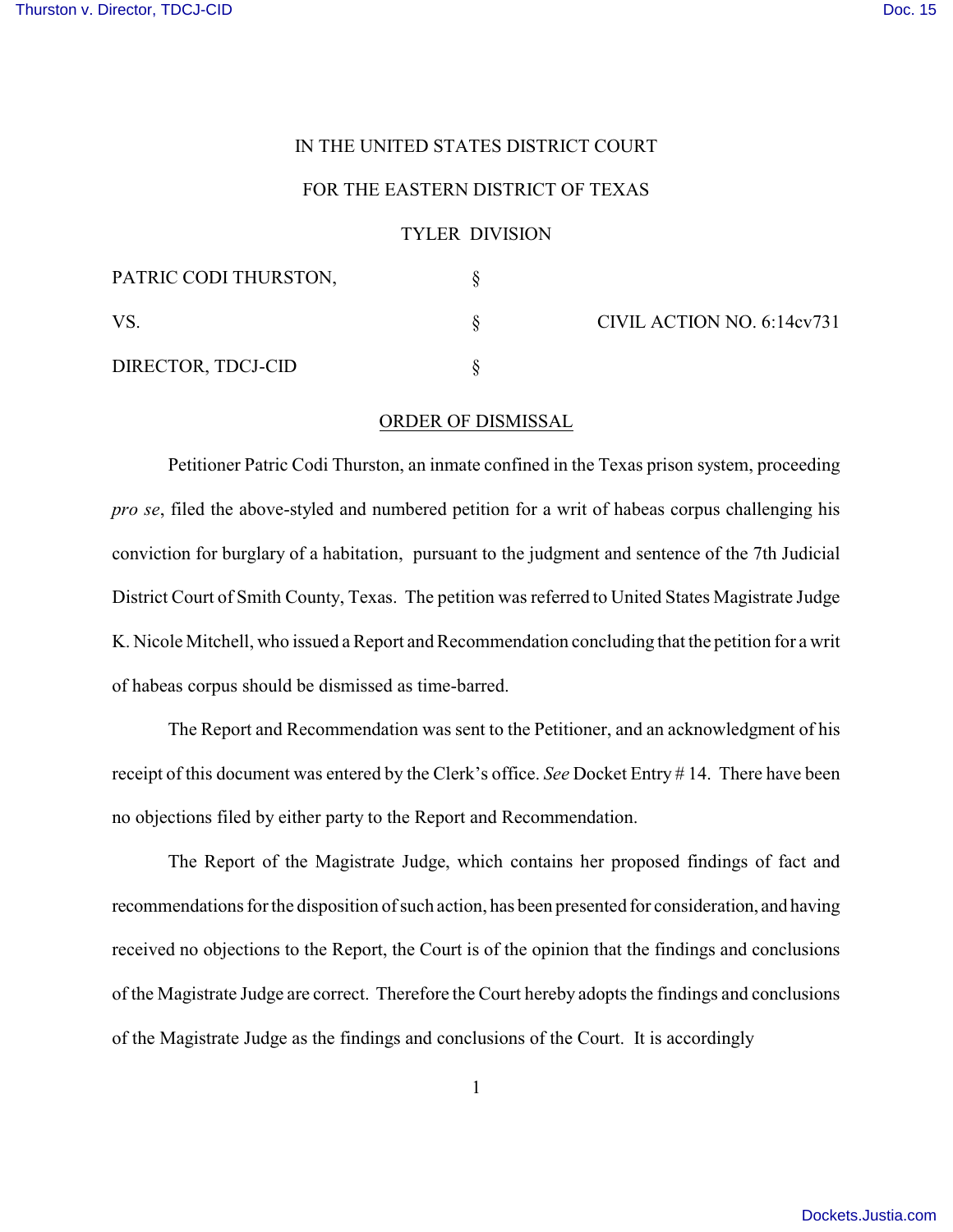## IN THE UNITED STATES DISTRICT COURT

## FOR THE EASTERN DISTRICT OF TEXAS

## TYLER DIVISION

| PATRIC CODI THURSTON, |  | CIVIL ACTION NO. 6:14cv731 |
|-----------------------|--|----------------------------|
| VS.                   |  |                            |
| DIRECTOR, TDCJ-CID    |  |                            |

## ORDER OF DISMISSAL

Petitioner Patric Codi Thurston, an inmate confined in the Texas prison system, proceeding *pro se*, filed the above-styled and numbered petition for a writ of habeas corpus challenging his conviction for burglary of a habitation, pursuant to the judgment and sentence of the 7th Judicial District Court of Smith County, Texas. The petition was referred to United States Magistrate Judge K. Nicole Mitchell, who issued a Report and Recommendation concluding that the petition for a writ of habeas corpus should be dismissed as time-barred.

The Report and Recommendation was sent to the Petitioner, and an acknowledgment of his receipt of this document was entered by the Clerk's office. *See* Docket Entry # 14. There have been no objections filed by either party to the Report and Recommendation.

The Report of the Magistrate Judge, which contains her proposed findings of fact and recommendations for the disposition of such action, has been presented for consideration, and having received no objections to the Report, the Court is of the opinion that the findings and conclusions of the Magistrate Judge are correct. Therefore the Court hereby adopts the findings and conclusions of the Magistrate Judge as the findings and conclusions of the Court. It is accordingly